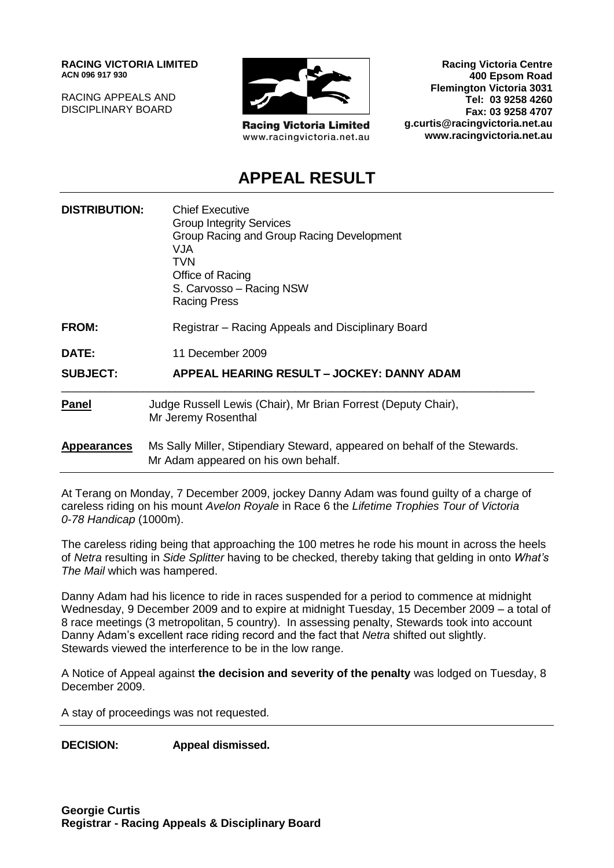**RACING VICTORIA LIMITED ACN 096 917 930**

RACING APPEALS AND DISCIPLINARY BOARD



**Racing Victoria Limited** www.racingvictoria.net.au

**Racing Victoria Centre 400 Epsom Road Flemington Victoria 3031 Tel: 03 9258 4260 Fax: 03 9258 4707 g.curtis@racingvictoria.net.au www.racingvictoria.net.au**

# **APPEAL RESULT**

| <b>DISTRIBUTION:</b> | <b>Chief Executive</b><br><b>Group Integrity Services</b><br>Group Racing and Group Racing Development<br><b>VJA</b><br><b>TVN</b><br>Office of Racing<br>S. Carvosso - Racing NSW<br><b>Racing Press</b> |
|----------------------|-----------------------------------------------------------------------------------------------------------------------------------------------------------------------------------------------------------|
| <b>FROM:</b>         | Registrar – Racing Appeals and Disciplinary Board                                                                                                                                                         |
| DATE:                | 11 December 2009                                                                                                                                                                                          |
| <b>SUBJECT:</b>      | APPEAL HEARING RESULT - JOCKEY: DANNY ADAM                                                                                                                                                                |
| Panel                | Judge Russell Lewis (Chair), Mr Brian Forrest (Deputy Chair),<br>Mr Jeremy Rosenthal                                                                                                                      |
| <b>Appearances</b>   | Ms Sally Miller, Stipendiary Steward, appeared on behalf of the Stewards.<br>Mr Adam appeared on his own behalf.                                                                                          |

At Terang on Monday, 7 December 2009, jockey Danny Adam was found guilty of a charge of careless riding on his mount *Avelon Royale* in Race 6 the *Lifetime Trophies Tour of Victoria 0-78 Handicap* (1000m).

The careless riding being that approaching the 100 metres he rode his mount in across the heels of *Netra* resulting in *Side Splitter* having to be checked, thereby taking that gelding in onto *What's The Mail* which was hampered.

Danny Adam had his licence to ride in races suspended for a period to commence at midnight Wednesday, 9 December 2009 and to expire at midnight Tuesday, 15 December 2009 – a total of 8 race meetings (3 metropolitan, 5 country). In assessing penalty, Stewards took into account Danny Adam's excellent race riding record and the fact that *Netra* shifted out slightly. Stewards viewed the interference to be in the low range.

A Notice of Appeal against **the decision and severity of the penalty** was lodged on Tuesday, 8 December 2009.

A stay of proceedings was not requested.

**DECISION: Appeal dismissed.**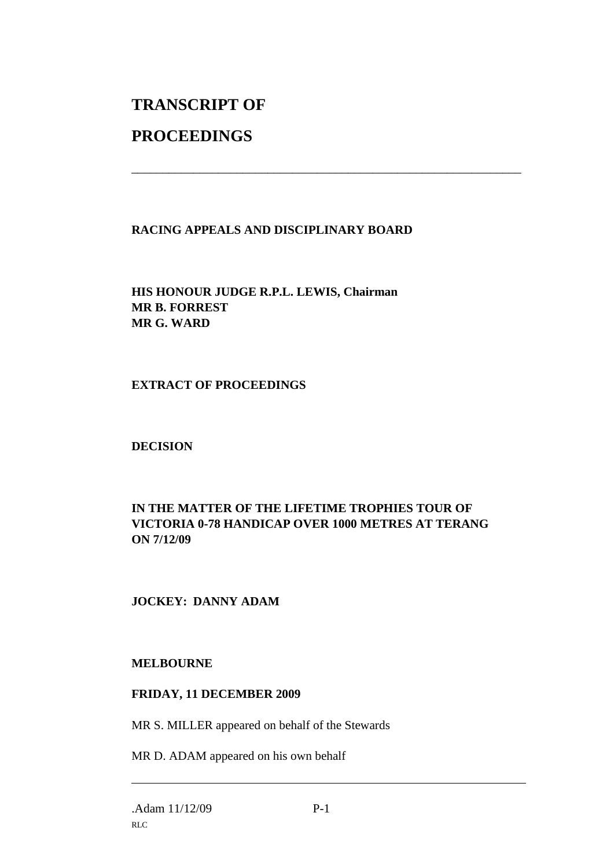# **TRANSCRIPT OF**

# **PROCEEDINGS**

#### **RACING APPEALS AND DISCIPLINARY BOARD**

\_\_\_\_\_\_\_\_\_\_\_\_\_\_\_\_\_\_\_\_\_\_\_\_\_\_\_\_\_\_\_\_\_\_\_\_\_\_\_\_\_\_\_\_\_\_\_\_\_\_\_\_\_\_\_\_\_\_\_\_\_\_\_

**HIS HONOUR JUDGE R.P.L. LEWIS, Chairman MR B. FORREST MR G. WARD**

#### **EXTRACT OF PROCEEDINGS**

## **DECISION**

#### **IN THE MATTER OF THE LIFETIME TROPHIES TOUR OF VICTORIA 0-78 HANDICAP OVER 1000 METRES AT TERANG ON 7/12/09**

## **JOCKEY: DANNY ADAM**

#### **MELBOURNE**

#### **FRIDAY, 11 DECEMBER 2009**

MR S. MILLER appeared on behalf of the Stewards

MR D. ADAM appeared on his own behalf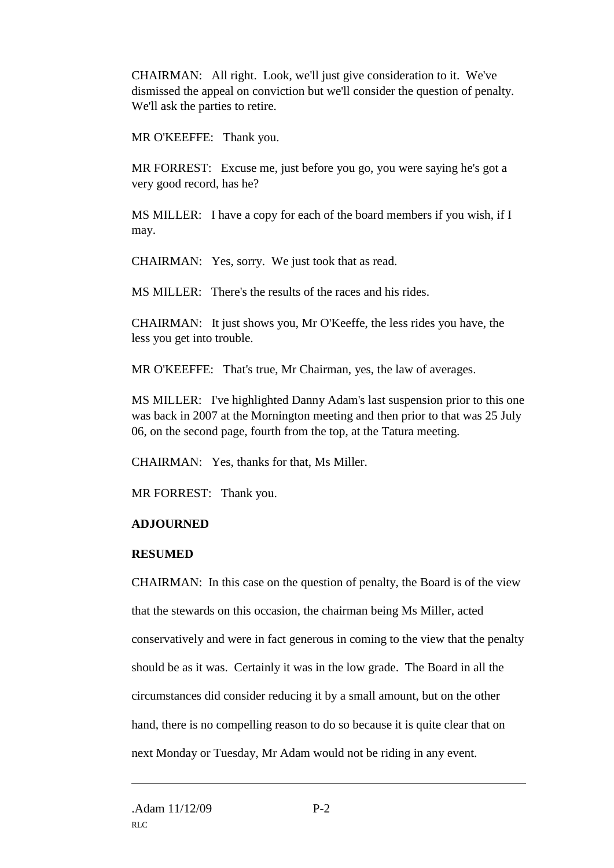CHAIRMAN: All right. Look, we'll just give consideration to it. We've dismissed the appeal on conviction but we'll consider the question of penalty. We'll ask the parties to retire.

MR O'KEEFFE: Thank you.

MR FORREST: Excuse me, just before you go, you were saying he's got a very good record, has he?

MS MILLER: I have a copy for each of the board members if you wish, if I may.

CHAIRMAN: Yes, sorry. We just took that as read.

MS MILLER: There's the results of the races and his rides.

CHAIRMAN: It just shows you, Mr O'Keeffe, the less rides you have, the less you get into trouble.

MR O'KEEFFE: That's true, Mr Chairman, yes, the law of averages.

MS MILLER: I've highlighted Danny Adam's last suspension prior to this one was back in 2007 at the Mornington meeting and then prior to that was 25 July 06, on the second page, fourth from the top, at the Tatura meeting.

CHAIRMAN: Yes, thanks for that, Ms Miller.

MR FORREST: Thank you.

## **ADJOURNED**

## **RESUMED**

CHAIRMAN: In this case on the question of penalty, the Board is of the view that the stewards on this occasion, the chairman being Ms Miller, acted conservatively and were in fact generous in coming to the view that the penalty should be as it was. Certainly it was in the low grade. The Board in all the circumstances did consider reducing it by a small amount, but on the other hand, there is no compelling reason to do so because it is quite clear that on next Monday or Tuesday, Mr Adam would not be riding in any event.